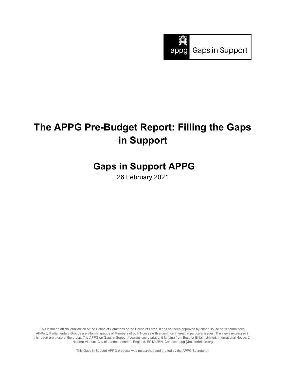

# **The APPG Pre-Budget Report: Filling the Gaps in Support**

## **Gaps in Support APPG**

26 February 2021

This is not an official publication of the House of Commons or the House of Lords. It has not been approved by either House or its committees. All-Party Parliamentary Groups are informal groups of Members of both Houses with a common interest in particular issues. The views expressed in this report are those of the group. The APPG on Gaps in Support receives secretariat and funding from Best for Britain Limited, International House, 24 Holborn Viaduct, City of London, London, England, EC1A 2BN; Contact: appg@bestforbritain.org

This Gaps in Support APPG proposal was researched and drafted by the APPG Secretariat.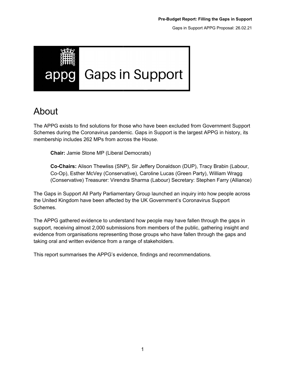<span id="page-1-0"></span>

## About

The APPG exists to find solutions for those who have been excluded from Government Support Schemes during the Coronavirus pandemic. Gaps in Support is the largest APPG in history, its membership includes 262 MPs from across the House.

**Chair:** Jamie Stone MP (Liberal Democrats)

**Co-Chairs:** Alison Thewliss (SNP), Sir Jeffery Donaldson (DUP), Tracy Brabin (Labour, Co-Op), Esther McVey (Conservative), Caroline Lucas (Green Party), William Wragg (Conservative) Treasurer: Virendra Sharma (Labour) Secretary: Stephen Farry (Alliance)

The Gaps in Support All Party Parliamentary Group launched an inquiry into how people across the United Kingdom have been affected by the UK Government's Coronavirus Support Schemes.

The APPG gathered evidence to understand how people may have fallen through the gaps in support, receiving almost 2,000 submissions from members of the public, gathering insight and evidence from organisations representing those groups who have fallen through the gaps and taking oral and written evidence from a range of stakeholders.

This report summarises the APPG's evidence, findings and recommendations.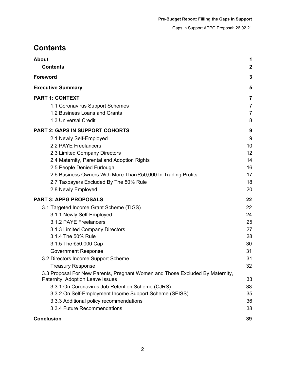## <span id="page-2-0"></span>**Contents**

| <b>About</b><br><b>Contents</b>                                                                                   | 1<br>$\boldsymbol{2}$ |
|-------------------------------------------------------------------------------------------------------------------|-----------------------|
| <b>Foreword</b>                                                                                                   | $\mathbf{3}$          |
|                                                                                                                   |                       |
| <b>Executive Summary</b>                                                                                          | 5                     |
| <b>PART 1: CONTEXT</b>                                                                                            | 7                     |
| 1.1 Coronavirus Support Schemes                                                                                   | $\overline{7}$        |
| 1.2 Business Loans and Grants                                                                                     | $\overline{7}$        |
| 1.3 Universal Credit                                                                                              | 8                     |
| <b>PART 2: GAPS IN SUPPORT COHORTS</b>                                                                            | 9                     |
| 2.1 Newly Self-Employed                                                                                           | 9                     |
| 2.2 PAYE Freelancers                                                                                              | 10                    |
| 2.3 Limited Company Directors                                                                                     | 12                    |
| 2.4 Maternity, Parental and Adoption Rights                                                                       | 14                    |
| 2.5 People Denied Furlough                                                                                        | 16                    |
| 2.6 Business Owners With More Than £50,000 In Trading Profits                                                     | 17                    |
| 2.7 Taxpayers Excluded By The 50% Rule                                                                            | 18                    |
| 2.8 Newly Employed                                                                                                | 20                    |
| <b>PART 3: APPG PROPOSALS</b>                                                                                     | 22                    |
| 3.1 Targeted Income Grant Scheme (TIGS)                                                                           | 22                    |
| 3.1.1 Newly Self-Employed                                                                                         | 24                    |
| 3.1.2 PAYE Freelancers                                                                                            | 25                    |
| 3.1.3 Limited Company Directors                                                                                   | 27                    |
| 3.1.4 The 50% Rule                                                                                                | 28                    |
| 3.1.5 The £50,000 Cap                                                                                             | 30                    |
| <b>Government Response</b>                                                                                        | 31                    |
| 3.2 Directors Income Support Scheme                                                                               | 31                    |
| <b>Treasury Response</b>                                                                                          | 32                    |
| 3.3 Proposal For New Parents, Pregnant Women and Those Excluded By Maternity,<br>Paternity, Adoption Leave Issues | 33                    |
| 3.3.1 On Coronavirus Job Retention Scheme (CJRS)                                                                  | 33                    |
| 3.3.2 On Self-Employment Income Support Scheme (SEISS)                                                            | 35                    |
| 3.3.3 Additional policy recommendations                                                                           | 36                    |
| 3.3.4 Future Recommendations                                                                                      | 38                    |
| <b>Conclusion</b>                                                                                                 | 39                    |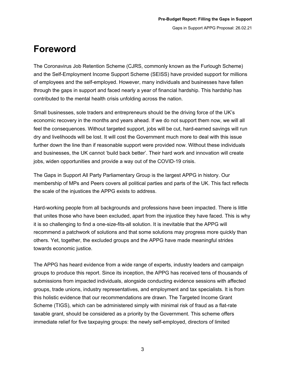## <span id="page-3-0"></span>**Foreword**

The Coronavirus Job Retention Scheme (CJRS, commonly known as the Furlough Scheme) and the Self-Employment Income Support Scheme (SEISS) have provided support for millions of employees and the self-employed. However, many individuals and businesses have fallen through the gaps in support and faced nearly a year of financial hardship. This hardship has contributed to the mental health crisis unfolding across the nation.

Small businesses, sole traders and entrepreneurs should be the driving force of the UK's economic recovery in the months and years ahead. If we do not support them now, we will all feel the consequences. Without targeted support, jobs will be cut, hard-earned savings will run dry and livelihoods will be lost. It will cost the Government much more to deal with this issue further down the line than if reasonable support were provided now. Without these individuals and businesses, the UK cannot 'build back better'. Their hard work and innovation will create jobs, widen opportunities and provide a way out of the COVID-19 crisis.

The Gaps in Support All Party Parliamentary Group is the largest APPG in history. Our membership of MPs and Peers covers all political parties and parts of the UK. This fact reflects the scale of the injustices the APPG exists to address.

Hard-working people from all backgrounds and professions have been impacted. There is little that unites those who have been excluded, apart from the injustice they have faced. This is why it is so challenging to find a one-size-fits-all solution. It is inevitable that the APPG will recommend a patchwork of solutions and that some solutions may progress more quickly than others. Yet, together, the excluded groups and the APPG have made meaningful strides towards economic justice.

The APPG has heard evidence from a wide range of experts, industry leaders and campaign groups to produce this report. Since its inception, the APPG has received tens of thousands of submissions from impacted individuals, alongside conducting evidence sessions with affected groups, trade unions, industry representatives, and employment and tax specialists. It is from this holistic evidence that our recommendations are drawn. The Targeted Income Grant Scheme (TIGS), which can be administered simply with minimal risk of fraud as a flat-rate taxable grant, should be considered as a priority by the Government. This scheme offers immediate relief for five taxpaying groups: the newly self-employed, directors of limited

3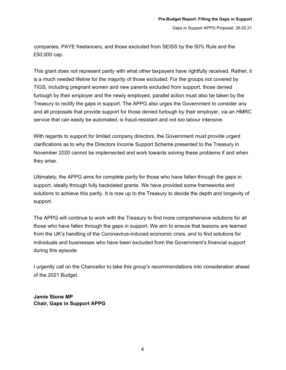companies, PAYE freelancers, and those excluded from SEISS by the 50% Rule and the £50,000 cap.

This grant does not represent parity with what other taxpayers have rightfully received. Rather, it is a much needed lifeline for the majority of those excluded. For the groups not covered by TIGS, including pregnant women and new parents excluded from support, those denied furlough by their employer and the newly employed, parallel action must also be taken by the Treasury to rectify the gaps in support. The APPG also urges the Government to consider any and all proposals that provide support for those denied furlough by their employer, via an HMRC service that can easily be automated, is fraud-resistant and not too labour intensive.

With regards to support for limited company directors, the Government must provide urgent clarifications as to why the Directors Income Support Scheme presented to the Treasury in November 2020 cannot be implemented and work towards solving these problems if and when they arise.

Ultimately, the APPG aims for complete parity for those who have fallen through the gaps in support, ideally through fully backdated grants. We have provided some frameworks and solutions to achieve this parity. It is now up to the Treasury to decide the depth and longevity of support.

The APPG will continue to work with the Treasury to find more comprehensive solutions for all those who have fallen through the gaps in support. We aim to ensure that lessons are learned from the UK's handling of the Coronavirus-induced economic crisis, and to find solutions for individuals and businesses who have been excluded from the Government's financial support during this episode.

I urgently call on the Chancellor to take this group's recommendations into consideration ahead of the 2021 Budget.

**Jamie Stone MP Chair, Gaps in Support APPG**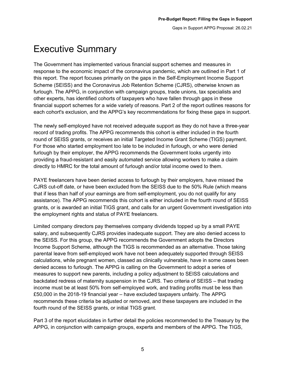# <span id="page-5-0"></span>Executive Summary

The Government has implemented various financial support schemes and measures in response to the economic impact of the coronavirus pandemic, which are outlined in Part 1 of this report. The report focuses primarily on the gaps in the Self-Employment Income Support Scheme (SEISS) and the Coronavirus Job Retention Scheme (CJRS), otherwise known as furlough. The APPG, in conjunction with campaign groups, trade unions, tax specialists and other experts, has identified cohorts of taxpayers who have fallen through gaps in these financial support schemes for a wide variety of reasons. Part 2 of the report outlines reasons for each cohort's exclusion, and the APPG's key recommendations for fixing these gaps in support.

The newly self-employed have not received adequate support as they do not have a three-year record of trading profits. The APPG recommends this cohort is either included in the fourth round of SEISS grants, or receives an initial Targeted Income Grant Scheme (TIGS) payment. For those who started employment too late to be included in furlough, or who were denied furlough by their employer, the APPG recommends the Government looks urgently into providing a fraud-resistant and easily automated service allowing workers to make a claim directly to HMRC for the total amount of furlough and/or total income owed to them.

PAYE freelancers have been denied access to furlough by their employers, have missed the CJRS cut-off date, or have been excluded from the SEISS due to the 50% Rule (which means that if less than half of your earnings are from self-employment, you do not qualify for any assistance). The APPG recommends this cohort is either included in the fourth round of SEISS grants, or is awarded an initial TIGS grant, and calls for an urgent Government investigation into the employment rights and status of PAYE freelancers.

Limited company directors pay themselves company dividends topped up by a small PAYE salary, and subsequently CJRS provides inadequate support. They are also denied access to the SEISS. For this group, the APPG recommends the Government adopts the Directors Income Support Scheme, although the TIGS is recommended as an alternative. Those taking parental leave from self-employed work have not been adequately supported through SEISS calculations, while pregnant women, classed as clinically vulnerable, have in some cases been denied access to furlough. The APPG is calling on the Government to adopt a series of measures to support new parents, including a policy adjustment to SEISS calculations and backdated redress of maternity suspension in the CJRS. Two criteria of SEISS – that trading income must be at least 50% from self-employed work, and trading profits must be less than £50,000 in the 2018-19 financial year – have excluded taxpayers unfairly. The APPG recommends these criteria be adjusted or removed, and these taxpayers are included in the fourth round of the SEISS grants, or initial TIGS grant.

Part 3 of the report elucidates in further detail the policies recommended to the Treasury by the APPG, in conjunction with campaign groups, experts and members of the APPG. The TIGS,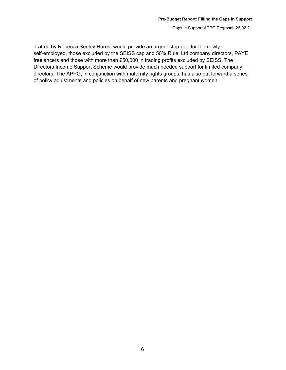drafted by Rebecca Seeley Harris, would provide an urgent stop-gap for the newly self-employed, those excluded by the SEISS cap and 50% Rule, Ltd company directors, PAYE freelancers and those with more than £50,000 in trading profits excluded by SEISS. The Directors Income Support Scheme would provide much needed support for limited company directors. The APPG, in conjunction with maternity rights groups, has also put forward a series of policy adjustments and policies on behalf of new parents and pregnant women.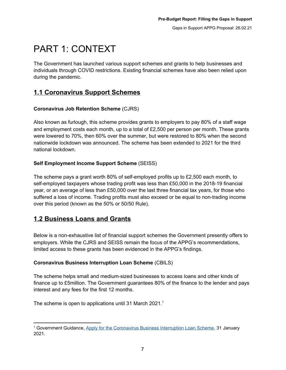# <span id="page-7-0"></span>PART 1: CONTEXT

The Government has launched various support schemes and grants to help businesses and individuals through COVID restrictions. Existing financial schemes have also been relied upon during the pandemic.

## <span id="page-7-1"></span>**1.1 Coronavirus Support Schemes**

## **Coronavirus Job Retention Scheme** (CJRS)

Also known as furlough, this scheme provides grants to employers to pay 80% of a staff wage and employment costs each month, up to a total of  $£2,500$  per person per month. These grants were lowered to 70%, then 60% over the summer, but were restored to 80% when the second nationwide lockdown was announced. The scheme has been extended to 2021 for the third national lockdown.

## **Self Employment Income Support Scheme** (SEISS)

The scheme pays a grant worth 80% of self-employed profits up to £2,500 each month, to self-employed taxpayers whose trading profit was less than £50,000 in the 2018-19 financial year, or an average of less than £50,000 over the last three financial tax years, for those who suffered a loss of income. Trading profits must also exceed or be equal to non-trading income over this period (known as the 50% or 50/50 Rule).

## <span id="page-7-2"></span>**1.2 Business Loans and Grants**

Below is a non-exhaustive list of financial support schemes the Government presently offers to employers. While the CJRS and SEISS remain the focus of the APPG's recommendations, limited access to these grants has been evidenced in the APPG's findings.

## **Coronavirus Business Interruption Loan Scheme** (CBILS)

The scheme helps small and medium-sized businesses to access loans and other kinds of finance up to £5million. The Government guarantees 80% of the finance to the lender and pays interest and any fees for the first 12 months.

The scheme is open to applications until 31 March 2021.<sup>1</sup>

<sup>&</sup>lt;sup>1</sup> Government Guidance, Apply for the [Coronavirus](https://www.gov.uk/guidance/apply-for-the-coronavirus-business-interruption-loan-scheme) Business Interruption Loan Scheme, 31 January 2021.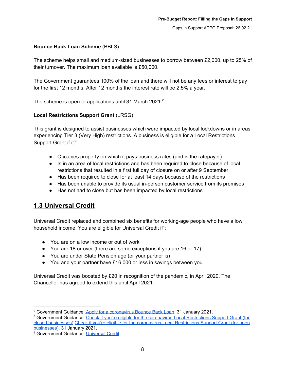## **Bounce Back Loan Scheme** (BBLS)

The scheme helps small and medium-sized businesses to borrow between £2,000, up to 25% of their turnover. The maximum loan available is £50,000.

The Government guarantees 100% of the loan and there will not be any fees or interest to pay for the first 12 months. After 12 months the interest rate will be 2.5% a year.

The scheme is open to applications until 31 March 2021.<sup>2</sup>

#### **Local Restrictions Support Grant** (LRSG)

This grant is designed to assist businesses which were impacted by local lockdowns or in areas experiencing Tier 3 (Very High) restrictions. A business is eligible for a Local Restrictions Support Grant if it<sup>3</sup>:

- Occupies property on which it pays business rates (and is the ratepayer)
- Is in an area of local restrictions and has been required to close because of local restrictions that resulted in a first full day of closure on or after 9 September
- Has been required to close for at least 14 days because of the restrictions
- Has been unable to provide its usual in-person customer service from its premises
- Has not had to close but has been impacted by local restrictions

## <span id="page-8-0"></span>**1.3 Universal Credit**

Universal Credit replaced and combined six benefits for working-age people who have a low household income. You are eligible for Universal Credit if<sup>4</sup>:

- You are on a low income or out of work
- You are 18 or over (there are some exceptions if you are 16 or 17)
- You are under State Pension age (or your partner is)
- You and your partner have £16,000 or less in savings between you

Universal Credit was boosted by £20 in recognition of the pandemic, in April 2020. The Chancellor has agreed to extend this until April 2021.

<sup>&</sup>lt;sup>2</sup> Government Guidance, Apply for a [coronavirus](https://www.gov.uk/guidance/apply-for-a-coronavirus-bounce-back-loan) Bounce Back Loan, 31 January 2021.

<sup>&</sup>lt;sup>3</sup> Government Guidance, Check if you're eligible for the coronavirus Local [Restrictions](https://www.gov.uk/guidance/check-if-youre-eligible-for-the-coronavirus-local-restrictions-support-grant-for-closed-businesses) Support Grant (for closed [businesses\)](https://www.gov.uk/guidance/check-if-youre-eligible-for-the-coronavirus-local-restrictions-support-grant-for-closed-businesses) Check if you're eligible for the coronavirus Local [Restrictions](https://www.gov.uk/guidance/check-if-youre-eligible-for-the-coronavirus-local-restrictions-support-grant-for-open-businesses) Support Grant (for open [businesses\)](https://www.gov.uk/guidance/check-if-youre-eligible-for-the-coronavirus-local-restrictions-support-grant-for-open-businesses), 31 January 2021.

<sup>4</sup> Government Guidance, [Universal](https://www.gov.uk/universal-credit/eligibility) Credit.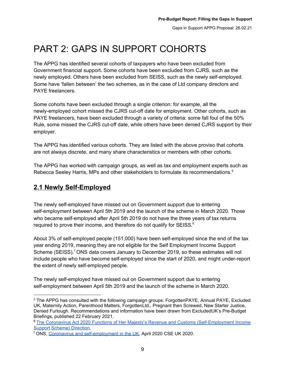# <span id="page-9-0"></span>PART 2: GAPS IN SUPPORT COHORTS

The APPG has identified several cohorts of taxpayers who have been excluded from Government financial support**.** Some cohorts have been excluded from CJRS, such as the newly employed. Others have been excluded from SEISS, such as the newly self-employed. Some have 'fallen between' the two schemes, as in the case of Ltd company directors and PAYE freelancers.

Some cohorts have been excluded through a single criterion: for example, all the newly-employed cohort missed the CJRS cut-off date for employment. Other cohorts, such as PAYE freelancers, have been excluded through a variety of criteria: some fall foul of the 50% Rule, some missed the CJRS cut-off date, while others have been denied CJRS support by their employer.

The APPG has identified various cohorts. They are listed with the above proviso that cohorts are not always discrete, and many share characteristics or members with other cohorts.

The APPG has worked with campaign groups, as well as tax and employment experts such as Rebecca Seeley Harris, MPs and other stakeholders to formulate its recommendations.<sup>5</sup>

## <span id="page-9-1"></span>**2.1 Newly Self-Employed**

The newly self-employed have missed out on Government support due to entering self-employment between April 5th 2019 and the launch of the scheme in March 2020. Those who became self-employed after April 5th 2019 do not have the three years of tax returns required to prove their income, and therefore do not qualify for SEISS.<sup>6</sup>

About 3% of self-employed people (151,000) have been self-employed since the end of the tax year ending 2019, meaning they are not eligible for the Self Employment Income Support Scheme (SEISS).<sup>7</sup> ONS data covers January to December 2019, so these estimates will not include people who have become self-employed since the start of 2020, and might under-report the extent of newly self-employed people.

The newly self-employed have missed out on Government support due to entering self-employment between April 5th 2019 and the launch of the scheme in March 2020.

<sup>&</sup>lt;sup>5</sup> The APPG has consulted with the following campaign groups: ForgottenPAYE, Annual PAYE, Excluded UK, Maternity Action, Parenthood Matters, ForgottenLtd., Pregnant then Screwed, New Starter Justice, Denied Furlough. Recommendations and information have been drawn from ExcludedUK's Pre-Budget Briefings, published 22 February 2021.

<sup>6</sup> The Coronavirus Act 2020 Functions of Her Majesty's Revenue and Customs [\(Self-Employment](https://assets.publishing.service.gov.uk/government/uploads/system/uploads/attachment_data/file/882593/SEISS_Direction_Final_-_SIGNED.pdf) Income Support Scheme) [Direction.](https://assets.publishing.service.gov.uk/government/uploads/system/uploads/attachment_data/file/882593/SEISS_Direction_Final_-_SIGNED.pdf)

<sup>7</sup> ONS, Coronavirus and [self-employment](https://www.ons.gov.uk/employmentandlabourmarket/peopleinwork/employmentandemployeetypes/articles/coronavirusandselfemploymentintheuk/2020-04-24) in the UK, April 2020 CSE UK 2020.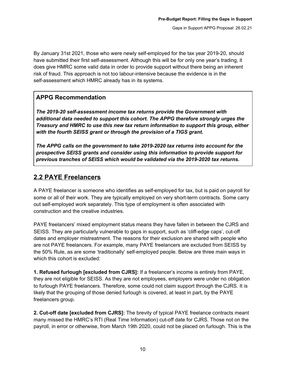By January 31st 2021, those who were newly self-employed for the tax year 2019-20, should have submitted their first self-assessment. Although this will be for only one year's trading, it does give HMRC some valid data in order to provide support without there being an inherent risk of fraud. This approach is not too labour-intensive because the evidence is in the self-assessment which HMRC already has in its systems.

## **APPG Recommendation**

*The 2019-20 self-assessment income tax returns provide the Government with additional data needed to support this cohort. The APPG therefore strongly urges the Treasury and HMRC to use this new tax return information to support this group, either with the fourth SEISS grant or through the provision of a TIGS grant.*

*The APPG calls on the government to take 2019-2020 tax returns into account for the prospective SEISS grants and consider using this information to provide support for previous tranches of SEISS which would be validated via the 2019-2020 tax returns.*

## <span id="page-10-0"></span>**2.2 PAYE Freelancers**

A PAYE freelancer is someone who identifies as self-employed for tax, but is paid on payroll for some or all of their work. They are typically employed on very short-term contracts. Some carry out self-employed work separately. This type of employment is often associated with construction and the creative industries.

PAYE freelancers' mixed employment status means they have fallen in between the CJRS and SEISS. They are particularly vulnerable to gaps in support, such as 'cliff-edge caps', cut-off dates and employer mistreatment. The reasons for their exclusion are shared with people who are not PAYE freelancers. For example, many PAYE freelancers are excluded from SEISS by the 50% Rule, as are some 'traditionally' self-employed people. Below are three main ways in which this cohort is excluded:

**1. Refused furlough [excluded from CJRS]:** If a freelancer's income is entirely from PAYE, they are not eligible for SEISS. As they are not employees, employers were under no obligation to furlough PAYE freelancers. Therefore, some could not claim support through the CJRS. It is likely that the grouping of those denied furlough is covered, at least in part, by the PAYE freelancers group.

**2. Cut-off date [excluded from CJRS]:** The brevity of typical PAYE freelance contracts meant many missed the HMRC's RTI (Real Time Information) cut-off date for CJRS. Those not on the payroll, in error or otherwise, from March 19th 2020, could not be placed on furlough. This is the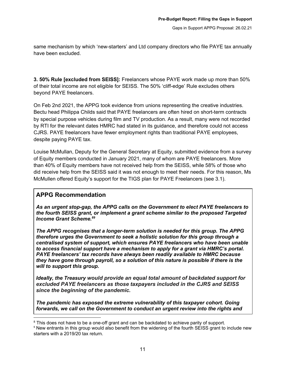same mechanism by which 'new-starters' and Ltd company directors who file PAYE tax annually have been excluded.

**3. 50% Rule [excluded from SEISS]:** Freelancers whose PAYE work made up more than 50% of their total income are not eligible for SEISS. The 50% 'cliff-edge' Rule excludes others beyond PAYE freelancers.

On Feb 2nd 2021, the APPG took evidence from unions representing the creative industries. Bectu head Philippa Childs said that PAYE freelancers are often hired on short-term contracts by special purpose vehicles during film and TV production. As a result, many were not recorded by RTI for the relevant dates HMRC had stated in its guidance, and therefore could not access CJRS. PAYE freelancers have fewer employment rights than traditional PAYE employees, despite paying PAYE tax.

Louise McMullan, Deputy for the General Secretary at Equity, submitted evidence from a survey of Equity members conducted in January 2021, many of whom are PAYE freelancers. More than 40% of Equity members have not received help from the SEISS, while 58% of those who did receive help from the SEISS said it was not enough to meet their needs. For this reason, Ms McMullen offered Equity's support for the TIGS plan for PAYE Freelancers (see 3.1).

## **APPG Recommendation**

*As an urgent stop-gap, the APPG calls on the Government to elect PAYE freelancers to the fourth SEISS grant, or implement a grant scheme similar to the proposed Targeted Income Grant Scheme. 89*

*The APPG recognises that a longer-term solution is needed for this group. The APPG therefore urges the Government to seek a holistic solution for this group through a centralised system of support, which ensures PAYE freelancers who have been unable to access financial support have a mechanism to apply for a grant via HMRC's portal. PAYE freelancers' tax records have always been readily available to HMRC because they have gone through payroll, so a solution of this nature is possible if there is the will to support this group.*

*Ideally, the Treasury would provide an equal total amount of backdated support for excluded PAYE freelancers as those taxpayers included in the CJRS and SEISS since the beginning of the pandemic.*

*The pandemic has exposed the extreme vulnerability of this taxpayer cohort. Going forwards, we call on the Government to conduct an urgent review into the rights and*

<sup>&</sup>lt;sup>8</sup> This does not have to be a one-off grant and can be backdated to achieve parity of support.

<sup>9</sup> New entrants in this group would also benefit from the widening of the fourth SEISS grant to include new starters with a 2019/20 tax return.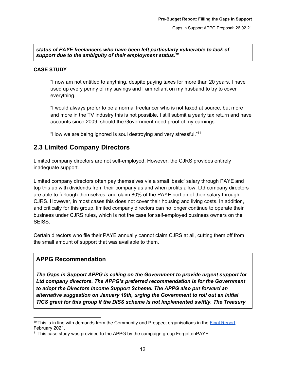#### *status of PAYE freelancers who have been left particularly vulnerable to lack of support due to the ambiguity of their employment status. 10*

#### **CASE STUDY**

"I now am not entitled to anything, despite paying taxes for more than 20 years. I have used up every penny of my savings and I am reliant on my husband to try to cover everything.

"I would always prefer to be a normal freelancer who is not taxed at source, but more and more in the TV industry this is not possible. I still submit a yearly tax return and have accounts since 2009, should the Government need proof of my earnings.

"How we are being ignored is soul destroying and very stressful." 11

## <span id="page-12-0"></span>**2.3 Limited Company Directors**

Limited company directors are not self-employed. However, the CJRS provides entirely inadequate support.

Limited company directors often pay themselves via a small 'basic' salary through PAYE and top this up with dividends from their company as and when profits allow. Ltd company directors are able to furlough themselves, and claim 80% of the PAYE portion of their salary through CJRS. However, in most cases this does not cover their housing and living costs. In addition, and critically for this group, limited company directors can no longer continue to operate their business under CJRS rules, which is not the case for self-employed business owners on the SEISS.

Certain directors who file their PAYE annually cannot claim CJRS at all, cutting them off from the small amount of support that was available to them.

## **APPG Recommendation**

*The Gaps in Support APPG is calling on the Government to provide urgent support for Ltd company directors. The APPG's preferred recommendation is for the Government to adopt the Directors Income Support Scheme. The APPG also put forward an alternative suggestion on January 19th, urging the Government to roll out an initial TIGS grant for this group if the DISS scheme is not implemented swiftly. The Treasury*

 $10$  This is in line with demands from the Community and Prospect organisations in the Final [Report,](https://library.prospect.org.uk/download/2021/00180) February 2021.

<sup>&</sup>lt;sup>11</sup> This case study was provided to the APPG by the campaign group ForgottenPAYE.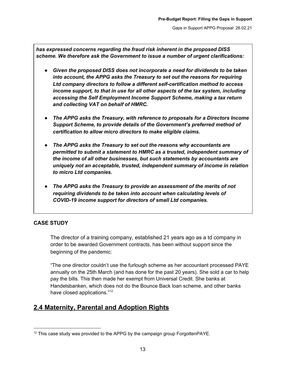*has expressed concerns regarding the fraud risk inherent in the proposed DISS scheme. We therefore ask the Government to issue a number of urgent clarifications:*

- *● Given the proposed DISS does not incorporate a need for dividends to be taken into account, the APPG asks the Treasury to set out the reasons for requiring Ltd company directors to follow a different self-certification method to access income support, to that in use for all other aspects of the tax system, including accessing the Self Employment Income Support Scheme, making a tax return and collecting VAT on behalf of HMRC.*
- *● The APPG asks the Treasury, with reference to proposals for a Directors Income Support Scheme, to provide details of the Government's preferred method of certification to allow micro directors to make eligible claims.*
- *● The APPG asks the Treasury to set out the reasons why accountants are permitted to submit a statement to HMRC as a trusted, independent summary of the income of all other businesses, but such statements by accountants are uniquely not an acceptable, trusted, independent summary of income in relation to micro Ltd companies.*
- *● The APPG asks the Treasury to provide an assessment of the merits of not requiring dividends to be taken into account when calculating levels of COVID-19 income support for directors of small Ltd companies.*

## **CASE STUDY**

The director of a training company, established 21 years ago as a td company in order to be awarded Government contracts, has been without support since the beginning of the pandemic:

"The one director couldn't use the furlough scheme as her accountant processed PAYE annually on the 25th March (and has done for the past 20 years). She sold a car to help pay the bills. This then made her exempt from Universal Credit. She banks at Handelsbanken, which does not do the Bounce Back loan scheme, and other banks have closed applications."<sup>12</sup>

## <span id="page-13-0"></span>**2.4 Maternity, Parental and Adoption Rights**

 $12$  This case study was provided to the APPG by the campaign group ForgottenPAYE.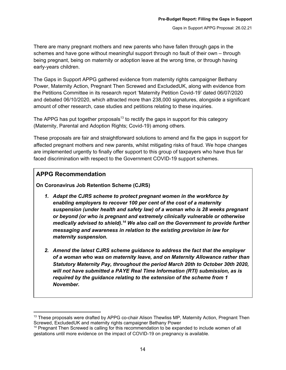There are many pregnant mothers and new parents who have fallen through gaps in the schemes and have gone without meaningful support through no fault of their own – through being pregnant, being on maternity or adoption leave at the wrong time, or through having early-years children.

The Gaps in Support APPG gathered evidence from maternity rights campaigner Bethany Power, Maternity Action, Pregnant Then Screwed and ExcludedUK, along with evidence from the Petitions Committee in its research report 'Maternity Petition Covid-19' dated 06/07/2020 and debated 06/10/2020, which attracted more than 238,000 signatures, alongside a significant amount of other research, case studies and petitions relating to these inquiries.

The APPG has put together proposals<sup>13</sup> to rectify the gaps in support for this category (Maternity, Parental and Adoption Rights; Covid-19) among others.

These proposals are fair and straightforward solutions to amend and fix the gaps in support for affected pregnant mothers and new parents, whilst mitigating risks of fraud. We hope changes are implemented urgently to finally offer support to this group of taxpayers who have thus far faced discrimination with respect to the Government COVID-19 support schemes.

## **APPG Recommendation**

**On Coronavirus Job Retention Scheme (CJRS)**

- *1. Adapt the CJRS scheme to protect pregnant women in the workforce by enabling employers to recover 100 per cent of the cost of a maternity suspension (under health and safety law) of a woman who is 28 weeks pregnant or beyond (or who is pregnant and extremely clinically vulnerable or otherwise medically advised to shield). <sup>14</sup> We also call on the Government to provide further messaging and awareness in relation to the existing provision in law for maternity suspension.*
- *2. Amend the latest CJRS scheme guidance to address the fact that the employer of a woman who was on maternity leave, and on Maternity Allowance rather than Statutory Maternity Pay, throughout the period March 20th to October 30th 2020, will not have submitted a PAYE Real Time Information (RTI) submission, as is required by the guidance relating to the extension of the scheme from 1 November.*

 $13$  These proposals were drafted by APPG co-chair Alison Thewliss MP, Maternity Action, Pregnant Then Screwed, ExcludedUK and maternity rights campaigner Bethany Power

<sup>&</sup>lt;sup>14</sup> Pregnant Then Screwed is calling for this recommendation to be expanded to include women of all gestations until more evidence on the impact of COVID-19 on pregnancy is available.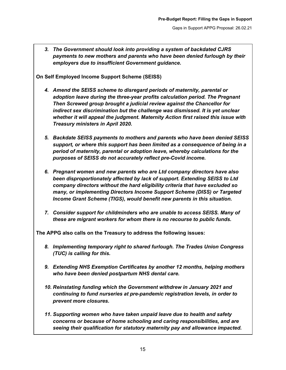*3. The Government should look into providing a system of backdated CJRS payments to new mothers and parents who have been denied furlough by their employers due to insufficient Government guidance.*

**On Self Employed Income Support Scheme (SEISS)**

- *4. Amend the SEISS scheme to disregard periods of maternity, parental or adoption leave during the three-year profits calculation period. The Pregnant Then Screwed group brought a judicial review against the Chancellor for indirect sex discrimination but the challenge was dismissed. It is yet unclear whether it will appeal the judgment. Maternity Action first raised this issue with Treasury ministers in April 2020.*
- *5. Backdate SEISS payments to mothers and parents who have been denied SEISS support, or where this support has been limited as a consequence of being in a period of maternity, parental or adoption leave, whereby calculations for the purposes of SEISS do not accurately reflect pre-Covid income.*
- *6. Pregnant women and new parents who are Ltd company directors have also been disproportionately affected by lack of support. Extending SEISS to Ltd company directors without the hard eligibility criteria that have excluded so many, or implementing Directors Income Support Scheme (DISS) or Targeted Income Grant Scheme (TIGS), would benefit new parents in this situation.*
- *7. Consider support for childminders who are unable to access SEISS. Many of these are migrant workers for whom there is no recourse to public funds.*

**The APPG also calls on the Treasury to address the following issues:**

- *8. Implementing temporary right to shared furlough. The Trades Union Congress (TUC) is calling for this.*
- *9. Extending NHS Exemption Certificates by another 12 months, helping mothers who have been denied postpartum NHS dental care.*
- *10. Reinstating funding which the Government withdrew in January 2021 and continuing to fund nurseries at pre-pandemic registration levels, in order to prevent more closures.*
- *11. Supporting women who have taken unpaid leave due to health and safety concerns or because of home schooling and caring responsibilities, and are seeing their qualification for statutory maternity pay and allowance impacted.*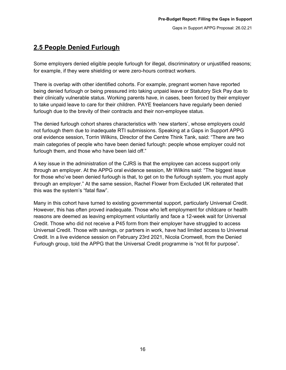## <span id="page-16-0"></span>**2.5 People Denied Furlough**

Some employers denied eligible people furlough for illegal, discriminatory or unjustified reasons; for example, if they were shielding or were zero-hours contract workers.

There is overlap with other identified cohorts. For example, pregnant women have reported being denied furlough or being pressured into taking unpaid leave or Statutory Sick Pay due to their clinically vulnerable status. Working parents have, in cases, been forced by their employer to take unpaid leave to care for their children. PAYE freelancers have regularly been denied furlough due to the brevity of their contracts and their non-employee status.

The denied furlough cohort shares characteristics with 'new starters', whose employers could not furlough them due to inadequate RTI submissions. Speaking at a Gaps in Support APPG oral evidence session, Torrin Wilkins, Director of the Centre Think Tank, said: "There are two main categories of people who have been denied furlough: people whose employer could not furlough them, and those who have been laid off."

A key issue in the administration of the CJRS is that the employee can access support only through an employer. At the APPG oral evidence session, Mr Wilkins said: "The biggest issue for those who've been denied furlough is that, to get on to the furlough system, you must apply through an employer." At the same session, Rachel Flower from Excluded UK reiterated that this was the system's "fatal flaw".

Many in this cohort have turned to existing governmental support, particularly Universal Credit. However, this has often proved inadequate. Those who left employment for childcare or health reasons are deemed as leaving employment voluntarily and face a 12-week wait for Universal Credit. Those who did not receive a P45 form from their employer have struggled to access Universal Credit. Those with savings, or partners in work, have had limited access to Universal Credit. In a live evidence session on February 23rd 2021, Nicola Cromwell, from the Denied Furlough group, told the APPG that the Universal Credit programme is "not fit for purpose".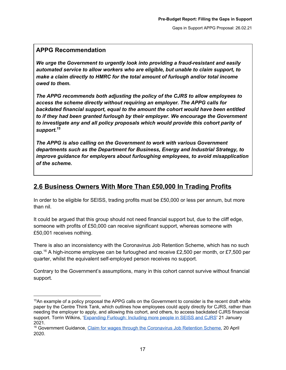## **APPG Recommendation**

*We urge the Government to urgently look into providing a fraud-resistant and easily automated service to allow workers who are eligible, but unable to claim support, to make a claim directly to HMRC for the total amount of furlough and/or total income owed to them.*

*The APPG recommends both adjusting the policy of the CJRS to allow employees to access the scheme directly without requiring an employer. The APPG calls for backdated financial support, equal to the amount the cohort would have been entitled to if they had been granted furlough by their employer. We encourage the Government to investigate any and all policy proposals which would provide this cohort parity of support. 15*

*The APPG is also calling on the Government to work with various Government departments such as the Department for Business, Energy and Industrial Strategy, to improve guidance for employers about furloughing employees, to avoid misapplication of the scheme.*

## <span id="page-17-0"></span>**2.6 Business Owners With More Than £50,000 In Trading Profits**

In order to be eligible for SEISS, trading profits must be £50,000 or less per annum, but more than nil.

It could be argued that this group should not need financial support but, due to the cliff edge, someone with profits of £50,000 can receive significant support, whereas someone with £50,001 receives nothing.

There is also an inconsistency with the Coronavirus Job Retention Scheme, which has no such cap.<sup>16</sup> A high-income employee can be furloughed and receive £2,500 per month, or £7,500 per quarter, whilst the equivalent self-employed person receives no support.

Contrary to the Government's assumptions, many in this cohort cannot survive without financial support.

<sup>&</sup>lt;sup>15</sup>An example of a policy proposal the APPG calls on the Government to consider is the recent draft white paper by the Centre Think Tank, which outlines how employees could apply directly for CJRS, rather than needing the employer to apply, and allowing this cohort, and others, to access backdated CJRS financial support. Torrin Wilkins, ['Expanding](https://centrethinktank.files.wordpress.com/2021/01/expanding-furlough-4.pdf) Furlough: Including more people in SEISS and CJRS' 21 January 2021.

<sup>&</sup>lt;sup>16</sup> Government Guidance, Claim for wages through the [Coronavirus](https://www.gov.uk/guidance/claim-for-wages-through-the-coronavirus-job-retention-scheme) Job Retention Scheme, 20 April 2020.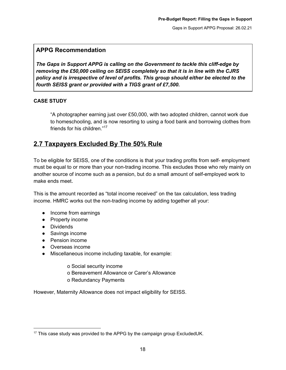## **APPG Recommendation**

*The Gaps in Support APPG is calling on the Government to tackle this cliff-edge by removing the £50,000 ceiling on SEISS completely so that it is in line with the CJRS policy and is irrespective of level of profits. This group should either be elected to the fourth SEISS grant or provided with a TIGS grant of £7,500.*

#### **CASE STUDY**

"A photographer earning just over £50,000, with two adopted children, cannot work due to homeschooling, and is now resorting to using a food bank and borrowing clothes from friends for his children." 17

## <span id="page-18-0"></span>**2.7 Taxpayers Excluded By The 50% Rule**

To be eligible for SEISS, one of the conditions is that your trading profits from self- employment must be equal to or more than your non-trading income. This excludes those who rely mainly on another source of income such as a pension, but do a small amount of self-employed work to make ends meet.

This is the amount recorded as "total income received" on the tax calculation, less trading income. HMRC works out the non-trading income by adding together all your:

- Income from earnings
- Property income
- Dividends
- Savings income
- Pension income
- Overseas income
- Miscellaneous income including taxable, for example:

o Social security income

- o Bereavement Allowance or Carer's Allowance
- o Redundancy Payments

However, Maternity Allowance does not impact eligibility for SEISS.

 $17$  This case study was provided to the APPG by the campaign group ExcludedUK.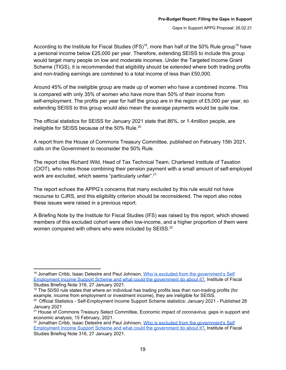According to the Institute for Fiscal Studies (IFS)<sup>18</sup>, more than half of the 50% Rule group<sup>19</sup> have a personal income below £25,000 per year. Therefore, extending SEISS to include this group would target many people on low and moderate incomes. Under the Targeted Income Grant Scheme (TIGS), it is recommended that eligibility should be extended where both trading profits and non-trading earnings are combined to a total income of less than £50,000.

Around 45% of the ineligible group are made up of women who have a combined income. This is compared with only 35% of women who have more than 50% of their income from self-employment. The profits per year for half the group are in the region of £5,000 per year, so extending SEISS to this group would also mean the average payments would be quite low.

The official statistics for SEISS for January 2021 state that 86%, or 1.4million people, are ineligible for SEISS because of the 50% Rule.<sup>20</sup>

A report from the House of Commons Treasury Committee, published on February 15th 2021, calls on the Government to reconsider the 50% Rule.

The report cites Richard Wild, Head of Tax Technical Team, Chartered Institute of Taxation (CIOT), who notes those combining their pension payment with a small amount of self-employed work are excluded, which seems "particularly unfair".<sup>21</sup>

The report echoes the APPG's concerns that many excluded by this rule would not have recourse to CJRS, and this eligibility criterion should be reconsidered. The report also notes these issues were raised in a previous report.

A Briefing Note by the Institute for Fiscal Studies (IFS) was raised by this report, which showed members of this excluded cohort were often low-income, and a higher proportion of them were women compared with others who were included by SEISS.<sup>22</sup>

<sup>&</sup>lt;sup>18</sup> Jonathan Cribb, Isaac Delestre and Paul Johnson, Who is excluded from the [government's](https://www.ifs.org.uk/publications/15276) Self [Employment](https://www.ifs.org.uk/publications/15276) Income Support Scheme and what could the government do about it?[,](https://www.ifs.org.uk/publications/15276) Institute of Fiscal Studies Briefing Note 316, 27 January 2021.

 $19$  The 50/50 rule states that where an individual has trading profits less than non-trading profits (for example, income from employment or investment income), they are ineligible for SEISS.

<sup>&</sup>lt;sup>20</sup> Official Statistics - Self-Employment Income Support Scheme statistics: January 2021 - Published 28 January 2021

<sup>&</sup>lt;sup>21</sup> House of Commons Treasury Select Committee, Economic impact of coronavirus: gaps in support and economic analysis, 15 February, 2021.

<sup>&</sup>lt;sup>22</sup> Jonathan Cribb, Isaac Delestre and Paul Johnson, Who is excluded from the [government's](https://www.ifs.org.uk/publications/15276) Self [Employment](https://www.ifs.org.uk/publications/15276) Income Support Scheme and what could the government do about it?[,](https://www.ifs.org.uk/publications/15276) Institute of Fiscal Studies Briefing Note 316, 27 January 2021.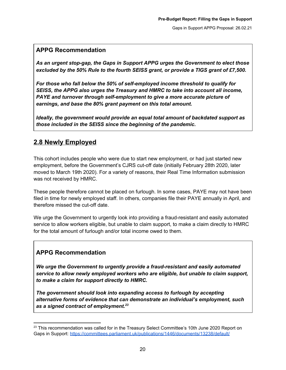## **APPG Recommendation**

*As an urgent stop-gap, the Gaps in Support APPG urges the Government to elect those excluded by the 50% Rule to the fourth SEISS grant, or provide a TIGS grant of £7,500.*

*For those who fall below the 50% of self-employed income threshold to qualify for SEISS, the APPG also urges the Treasury and HMRC to take into account all income, PAYE and turnover through self-employment to give a more accurate picture of earnings, and base the 80% grant payment on this total amount.*

*Ideally, the government would provide an equal total amount of backdated support as those included in the SEISS since the beginning of the pandemic.*

## <span id="page-20-0"></span>**2.8 Newly Employed**

This cohort includes people who were due to start new employment, or had just started new employment, before the Government's CJRS cut-off date (initially February 28th 2020, later moved to March 19th 2020). For a variety of reasons, their Real Time Information submission was not received by HMRC.

These people therefore cannot be placed on furlough. In some cases, PAYE may not have been filed in time for newly employed staff. In others, companies file their PAYE annually in April, and therefore missed the cut-off date.

We urge the Government to urgently look into providing a fraud-resistant and easily automated service to allow workers eligible, but unable to claim support, to make a claim directly to HMRC for the total amount of furlough and/or total income owed to them.

## **APPG Recommendation**

*We urge the Government to urgently provide a fraud-resistant and easily automated service to allow newly employed workers who are eligible, but unable to claim support, to make a claim for support directly to HMRC.*

*The government should look into expanding access to furlough by accepting alternative forms of evidence that can demonstrate an individual's employment, such as a signed contract of employment. 23*

<sup>&</sup>lt;sup>23</sup> This recommendation was called for in the Treasury Select Committee's 10th June 2020 Report on Gaps in Support: <https://committees.parliament.uk/publications/1446/documents/13238/default/>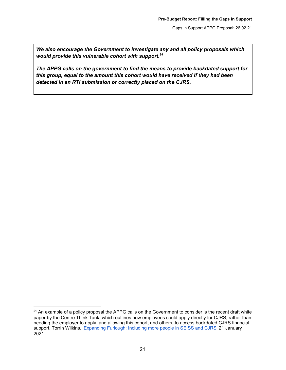*We also encourage the Government to investigate any and all policy proposals which would provide this vulnerable cohort with support. 24*

*The APPG calls on the government to find the means to provide backdated support for this group, equal to the amount this cohort would have received if they had been detected in an RTI submission or correctly placed on the CJRS.*

<sup>&</sup>lt;sup>24</sup> An example of a policy proposal the APPG calls on the Government to consider is the recent draft white paper by the Centre Think Tank, which outlines how employees could apply directly for CJRS, rather than needing the employer to apply, and allowing this cohort, and others, to access backdated CJRS financial support. Torrin Wilkins, ['Expanding](https://centrethinktank.files.wordpress.com/2021/01/expanding-furlough-4.pdf) Furlough: Including more people in SEISS and CJRS' 21 January 2021.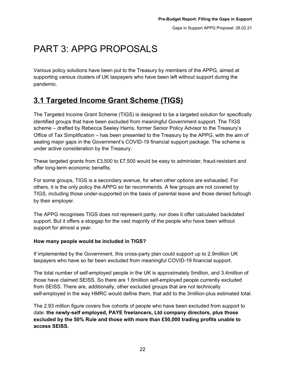# <span id="page-22-0"></span>PART 3: APPG PROPOSALS

Various policy solutions have been put to the Treasury by members of the APPG, aimed at supporting various clusters of UK taxpayers who have been left without support during the pandemic.

## <span id="page-22-1"></span>**3.1 Targeted Income Grant Scheme (TIGS)**

The Targeted Income Grant Scheme (TIGS) is designed to be a targeted solution for specifically identified groups that have been excluded from meaningful Government support. The TIGS scheme – drafted by Rebecca Seeley Harris, former Senior Policy Advisor to the Treasury's Office of Tax Simplification – has been presented to the Treasury by the APPG, with the aim of sealing major gaps in the Government's COVID-19 financial support package. The scheme is under active consideration by the Treasury.

These targeted grants from £3,500 to £7,500 would be easy to administer, fraud-resistant and offer long-term economic benefits.

For some groups, TIGS is a secondary avenue, for when other options are exhausted. For others, it is the only policy the APPG so far recommends. A few groups are not covered by TIGS, including those under-supported on the basis of parental leave and those denied furlough by their employer.

The APPG recognises TIGS does not represent parity, nor does it offer calculated backdated support. But it offers a stopgap for the vast majority of the people who have been without support for almost a year.

## **How many people would be included in TIGS?**

If implemented by the Government, this cross-party plan could support up to 2.9million UK taxpayers who have so far been excluded from meaningful COVID-19 financial support.

The total number of self-employed people in the UK is approximately 5million, and 3.4million of those have claimed SEISS. So there are 1.6million self-employed people currently excluded from SEISS. There are, additionally, other excluded groups that are not technically self-employed in the way HMRC would define them, that add to the 3million-plus estimated total.

The 2.93 million figure covers five cohorts of people who have been excluded from support to date: **the newly-self employed, PAYE freelancers, Ltd company directors, plus those excluded by the 50% Rule and those with more than £50,000 trading profits unable to access SEISS.**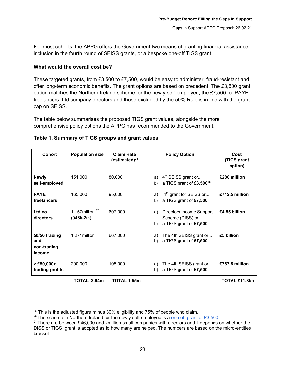For most cohorts, the APPG offers the Government two means of granting financial assistance: inclusion in the fourth round of SEISS grants, or a bespoke one-off TIGS grant.

#### **What would the overall cost be?**

These targeted grants, from £3,500 to £7,500, would be easy to administer, fraud-resistant and offer long-term economic benefits. The grant options are based on precedent. The £3,500 grant option matches the Northern Ireland scheme for the newly self-employed; the £7,500 for PAYE freelancers, Ltd company directors and those excluded by the 50% Rule is in line with the grant cap on SEISS.

The table below summarises the proposed TIGS grant values, alongside the more comprehensive policy options the APPG has recommended to the Government.

| <b>Cohort</b>                                 | <b>Population size</b>                        | <b>Claim Rate</b><br>(estimated) $^{25}$ | <b>Policy Option</b>                                                               | Cost<br>(TIGS grant<br>option) |
|-----------------------------------------------|-----------------------------------------------|------------------------------------------|------------------------------------------------------------------------------------|--------------------------------|
| <b>Newly</b><br>self-employed                 | 151,000                                       | 80,000                                   | 4 <sup>th</sup> SEISS grant or<br>a)<br>a TIGS grant of £3,500 <sup>26</sup><br>b) | £280 million                   |
| <b>PAYE</b><br>freelancers                    | 165,000                                       | 95,000                                   | 4 <sup>th</sup> grant for SEISS or<br>a)<br>a TIGS grant of £7,500<br>b)           | £712.5 million                 |
| Ltd co<br>directors                           | 1.157 $m$ illion <sup>27</sup><br>$(946k-2m)$ | 607,000                                  | Directors Income Support<br>a)<br>Scheme (DISS) or<br>a TIGS grant of £7,500<br>b) | £4.55 billion                  |
| 50/50 trading<br>and<br>non-trading<br>income | 1.271 million                                 | 667,000                                  | The 4th SEISS grant or<br>a)<br>a TIGS grant of £7,500<br>b)                       | £5 billion                     |
| $>$ £50,000+<br>trading profits               | 200,000                                       | 105,000                                  | The 4th SEISS grant or<br>a)<br>a TIGS grant of £7,500<br>b)                       | £787.5 million                 |
|                                               | TOTAL 2.94m                                   | <b>TOTAL 1.55m</b>                       |                                                                                    | TOTAL £11.3bn                  |

#### **Table 1. Summary of TIGS groups and grant values**

 $25$  This is the adjusted figure minus 30% eligibility and 75% of people who claim.

 $^{26}$  The scheme in Northern Ireland for the newly self-employed is a one-off grant of [£3,500.](https://www.nibusinessinfo.co.uk/content/newly-self-employed-support-scheme)

 $27$  There are between 946,000 and 2million small companies with directors and it depends on whether the DISS or TIGS grant is adopted as to how many are helped. The numbers are based on the micro-entities bracket.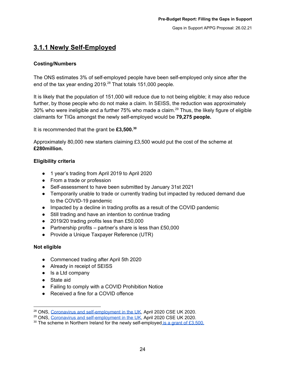## <span id="page-24-0"></span>**3.1.1 Newly Self-Employed**

## **Costing/Numbers**

The ONS estimates 3% of self-employed people have been self-employed only since after the end of the tax year ending 2019.<sup>28</sup> That totals 151,000 people.

It is likely that the population of 151,000 will reduce due to not being eligible; it may also reduce further, by those people who do not make a claim. In SEISS, the reduction was approximately 30% who were ineligible and a further 75% who made a claim. <sup>29</sup> Thus, the likely figure of eligible claimants for TIGs amongst the newly self-employed would be **79,275 people.**

It is recommended that the grant be **£3,500. 30**

Approximately 80,000 new starters claiming £3,500 would put the cost of the scheme at **£280million.**

## **Eligibility criteria**

- 1 year's trading from April 2019 to April 2020
- From a trade or profession
- Self-assessment to have been submitted by January 31st 2021
- Temporarily unable to trade or currently trading but impacted by reduced demand due to the COVID-19 pandemic
- Impacted by a decline in trading profits as a result of the COVID pandemic
- Still trading and have an intention to continue trading
- 2019/20 trading profits less than £50,000
- Partnership profits partner's share is less than  $£50,000$
- Provide a Unique Taxpayer Reference (UTR)

## **Not eligible**

- Commenced trading after April 5th 2020
- Already in receipt of SEISS
- Is a Ltd company
- State aid
- Failing to comply with a COVID Prohibition Notice
- Received a fine for a COVID offence

<sup>&</sup>lt;sup>28</sup> ONS, Coronavirus and [self-employment](https://www.ons.gov.uk/employmentandlabourmarket/peopleinwork/employmentandemployeetypes/articles/coronavirusandselfemploymentintheuk/2020-04-24) in the UK, April 2020 CSE UK 2020.

<sup>&</sup>lt;sup>29</sup> ONS, Coronavirus and [self-employment](https://www.ons.gov.uk/employmentandlabourmarket/peopleinwork/employmentandemployeetypes/articles/coronavirusandselfemploymentintheuk/2020-04-24) in the UK, April 2020 CSE UK 2020.

 $30$  The scheme in Northern Ireland for the newly self-employed is a grant of [£3,500.](https://www.nibusinessinfo.co.uk/content/newly-self-employed-support-scheme)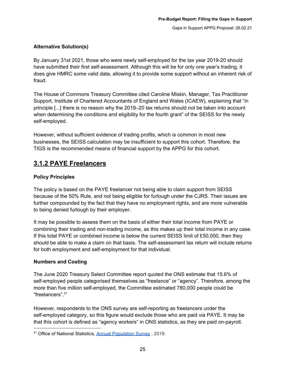## **Alternative Solution(s)**

By January 31st 2021, those who were newly self-employed for the tax year 2019-20 should have submitted their first self-assessment. Although this will be for only one year's trading, it does give HMRC some valid data, allowing it to provide some support without an inherent risk of fraud.

The House of Commons Treasury Committee cited Caroline Miskin, Manager, Tax Practitioner Support, Institute of Chartered Accountants of England and Wales (ICAEW), explaining that "in principle [...] there is no reason why the 2019–20 tax returns should not be taken into account when determining the conditions and eligibility for the fourth grant" of the SEISS for the newly self-employed.

However, without sufficient evidence of trading profits, which is common in most new businesses, the SEISS calculation may be insufficient to support this cohort. Therefore, the TIGS is the recommended means of financial support by the APPG for this cohort.

## <span id="page-25-0"></span>**3.1.2 PAYE Freelancers**

## **Policy Principles**

The policy is based on the PAYE freelancer not being able to claim support from SEISS because of the 50% Rule, and not being eligible for furlough under the CJRS. Their issues are further compounded by the fact that they have no employment rights, and are more vulnerable to being denied furlough by their employer.

It may be possible to assess them on the basis of either their total income from PAYE or combining their trading and non-trading income, as this makes up their total income in any case. If this total PAYE or combined income is below the current SEISS limit of £50,000, then they should be able to make a claim on that basis. The self-assessment tax return will include returns for both employment and self-employment for that individual.

## **Numbers and Costing**

The June 2020 Treasury Select Committee report quoted the ONS estimate that 15.6% of self-employed people categorised themselves as "freelance" or "agency". Therefore, among the more than five million self-employed, the Committee estimated 780,000 people could be "freelancers". 31

However, respondents to the ONS survey are self-reporting as freelancers under the self-employed category, so this figure would exclude those who are paid via PAYE. It may be that this cohort is defined as "agency workers" in ONS statistics, as they are paid on-payroll.

<sup>&</sup>lt;sup>31</sup> Office of National Statistics, Annual [Population](https://www.nomisweb.co.uk/articles/1167.aspx) Survey, 2019.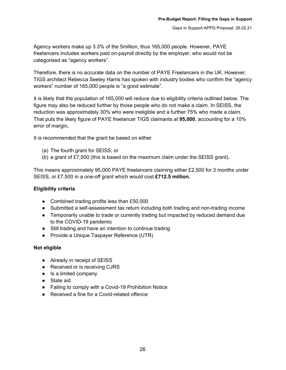Agency workers make up 3.3% of the 5million, thus 165,000 people. However, PAYE freelancers includes workers paid on-payroll directly by the employer, who would not be categorised as "agency workers".

Therefore, there is no accurate data on the number of PAYE Freelancers in the UK. However, TIGS architect Rebecca Seeley Harris has spoken with industry bodies who confirm the "agency workers" number of 165,000 people is "a good estimate".

It is likely that the population of 165,000 will reduce due to eligibility criteria outlined below. The figure may also be reduced further by those people who do not make a claim. In SEISS, the reduction was approximately 30% who were ineligible and a further 75% who made a claim. That puts the likely figure of PAYE freelancer TIGS claimants at **95,000**, accounting for a 10% error of margin**.**

It is recommended that the grant be based on either

- (a) The fourth grant for SEISS; or
- (b) a grant of £7,500 (this is based on the maximum claim under the SEISS grant).

This means approximately 95,000 PAYE freelancers claiming either £2,500 for 3 months under SEISS, or £7,500 in a one-off grant which would cost **£712.5 million.**

## **Eligibility criteria**

- Combined trading profits less than £50,000
- Submitted a self-assessment tax return including both trading and non-trading income
- Temporarily unable to trade or currently trading but impacted by reduced demand due to the COVID-19 pandemic
- Still trading and have an intention to continue trading
- Provide a Unique Taxpayer Reference (UTR)

#### **Not eligible**

- Already in receipt of SEISS
- Received or is receiving CJRS
- Is a limited company
- State aid
- Failing to comply with a Covid-19 Prohibition Notice
- Received a fine for a Covid-related offence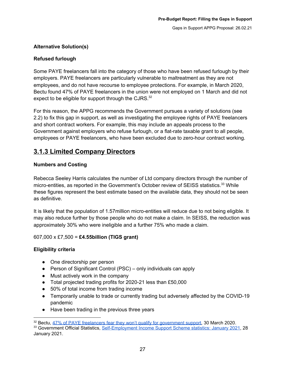## **Alternative Solution(s)**

## **Refused furlough**

Some PAYE freelancers fall into the category of those who have been refused furlough by their employers. PAYE freelancers are particularly vulnerable to maltreatment as they are not employees, and do not have recourse to employee protections. For example, in March 2020, Bectu found 47% of PAYE freelancers in the union were not employed on 1 March and did not expect to be eligible for support through the CJRS. $32$ 

For this reason, the APPG recommends the Government pursues a variety of solutions (see 2.2) to fix this gap in support, as well as investigating the employee rights of PAYE freelancers and short contract workers. For example, this may include an appeals process to the Government against employers who refuse furlough, or a flat-rate taxable grant to all people, employees or PAYE freelancers, who have been excluded due to zero-hour contract working.

## <span id="page-27-0"></span>**3.1.3 Limited Company Directors**

## **Numbers and Costing**

Rebecca Seeley Harris calculates the number of Ltd company directors through the number of micro-entities, as reported in the Government's October review of SEISS statistics.<sup>33</sup> While these figures represent the best estimate based on the available data, they should not be seen as definitive.

It is likely that the population of 1.57million micro-entities will reduce due to not being eligible. It may also reduce further by those people who do not make a claim. In SEISS, the reduction was approximately 30% who were ineligible and a further 75% who made a claim.

## 607,000 x £7,500 = **£4.55billion (TIGS grant)**

## **Eligibility criteria**

- One directorship per person
- Person of Significant Control (PSC) only individuals can apply
- Must actively work in the company
- Total projected trading profits for 2020-21 less than £50,000
- 50% of total income from trading income
- Temporarily unable to trade or currently trading but adversely affected by the COVID-19 pandemic
- Have been trading in the previous three years

<sup>&</sup>lt;sup>32</sup> Bectu, 47% of PAYE freelancers fear they won't qualify for [government](https://bectu.org.uk/news/paye-freelancers-fear-they-wont-qualify-for-government-support/) support, 30 March 2020. <sup>33</sup> Government Official Statistics, [Self-Employment](https://www.gov.uk/government/statistics/self-employment-income-support-scheme-statistics-january-2021) Income Support Scheme statistics: January 2021, 28

January 2021.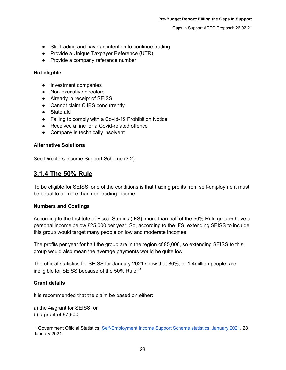- Still trading and have an intention to continue trading
- Provide a Unique Taxpayer Reference (UTR)
- Provide a company reference number

## **Not eligible**

- Investment companies
- Non-executive directors
- Already in receipt of SEISS
- Cannot claim CJRS concurrently
- State aid
- Failing to comply with a Covid-19 Prohibition Notice
- Received a fine for a Covid-related offence
- Company is technically insolvent

## **Alternative Solutions**

See Directors Income Support Scheme (3.2).

## <span id="page-28-0"></span>**3.1.4 The 50% Rule**

To be eligible for SEISS, one of the conditions is that trading profits from self-employment must be equal to or more than non-trading income.

## **Numbers and Costings**

According to the Institute of Fiscal Studies (IFS), more than half of the 50% Rule group<sub>24</sub> have a personal income below £25,000 per year. So, according to the IFS, extending SEISS to include this group would target many people on low and moderate incomes.

The profits per year for half the group are in the region of £5,000, so extending SEISS to this group would also mean the average payments would be quite low.

The official statistics for SEISS for January 2021 show that 86%, or 1.4million people, are ineligible for SEISS because of the 50% Rule.<sup>34</sup>

## **Grant details**

It is recommended that the claim be based on either:

a) the 4th grant for SEISS; or b) a grant of £7,500

<sup>&</sup>lt;sup>34</sup> Government Official Statistics, [Self-Employment](https://www.gov.uk/government/statistics/self-employment-income-support-scheme-statistics-january-2021) Income Support Scheme statistics: January 2021, 28 January 2021.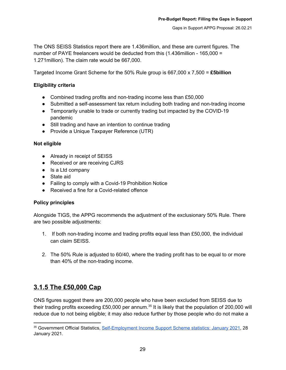The ONS SEISS Statistics report there are 1.436million, and these are current figures. The number of PAYE freelancers would be deducted from this (1.436million - 165,000 = 1.271million). The claim rate would be 667,000.

Targeted Income Grant Scheme for the 50% Rule group is 667,000 x 7,500 = **£5billion**

## **Eligibility criteria**

- Combined trading profits and non-trading income less than £50,000
- Submitted a self-assessment tax return including both trading and non-trading income
- Temporarily unable to trade or currently trading but impacted by the COVID-19 pandemic
- Still trading and have an intention to continue trading
- Provide a Unique Taxpayer Reference (UTR)

## **Not eligible**

- Already in receipt of SEISS
- Received or are receiving CJRS
- Is a Ltd company
- State aid
- Failing to comply with a Covid-19 Prohibition Notice
- Received a fine for a Covid-related offence

## **Policy principles**

Alongside TIGS, the APPG recommends the adjustment of the exclusionary 50% Rule. There are two possible adjustments:

- 1. If both non-trading income and trading profits equal less than £50,000, the individual can claim SEISS.
- 2. The 50% Rule is adjusted to 60/40, where the trading profit has to be equal to or more than 40% of the non-trading income.

## <span id="page-29-0"></span>**3.1.5 The £50,000 Cap**

ONS figures suggest there are 200,000 people who have been excluded from SEISS due to their trading profits exceeding £50,000 per annum.<sup>35</sup> It is likely that the population of 200,000 will reduce due to not being eligible; it may also reduce further by those people who do not make a

<sup>&</sup>lt;sup>35</sup> Government Official Statistics, [Self-Employment](https://www.gov.uk/government/statistics/self-employment-income-support-scheme-statistics-january-2021) Income Support Scheme statistics: January 2021, 28 January 2021.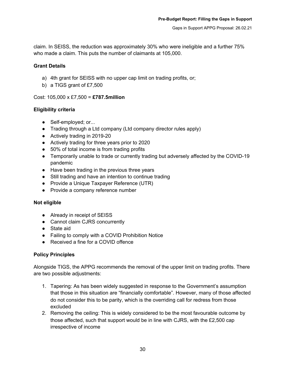claim. In SEISS, the reduction was approximately 30% who were ineligible and a further 75% who made a claim. This puts the number of claimants at 105,000.

## **Grant Details**

- a) 4th grant for SEISS with no upper cap limit on trading profits, or;
- b) a TIGS grant of £7,500

## Cost: 105,000 x £7,500 = **£787.5million**

## **Eligibility criteria**

- Self-employed; or...
- Trading through a Ltd company (Ltd company director rules apply)
- Actively trading in 2019-20
- Actively trading for three years prior to 2020
- 50% of total income is from trading profits
- Temporarily unable to trade or currently trading but adversely affected by the COVID-19 pandemic
- Have been trading in the previous three years
- Still trading and have an intention to continue trading
- Provide a Unique Taxpayer Reference (UTR)
- Provide a company reference number

## **Not eligible**

- Already in receipt of SEISS
- Cannot claim CJRS concurrently
- State aid
- Failing to comply with a COVID Prohibition Notice
- Received a fine for a COVID offence

## **Policy Principles**

Alongside TIGS, the APPG recommends the removal of the upper limit on trading profits. There are two possible adjustments:

- 1. Tapering: As has been widely suggested in response to the Government's assumption that those in this situation are "financially comfortable". However, many of those affected do not consider this to be parity, which is the overriding call for redress from those excluded
- 2. Removing the ceiling: This is widely considered to be the most favourable outcome by those affected, such that support would be in line with CJRS, with the £2,500 cap irrespective of income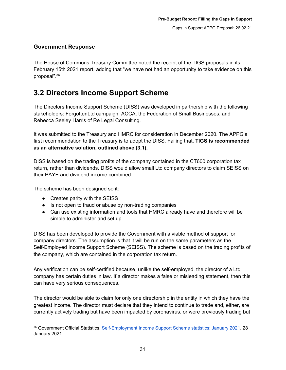## <span id="page-31-0"></span>**Government Response**

The House of Commons Treasury Committee noted the receipt of the TIGS proposals in its February 15th 2021 report, adding that "we have not had an opportunity to take evidence on this proposal". 36

## <span id="page-31-1"></span>**3.2 Directors Income Support Scheme**

The Directors Income Support Scheme (DISS) was developed in partnership with the following stakeholders: ForgottenLtd campaign, ACCA, the Federation of Small Businesses, and Rebecca Seeley Harris of Re Legal Consulting.

It was submitted to the Treasury and HMRC for consideration in December 2020. The APPG's first recommendation to the Treasury is to adopt the DISS. Failing that, **TIGS is recommended as an alternative solution, outlined above (3.1).**

DISS is based on the trading profits of the company contained in the CT600 corporation tax return, rather than dividends. DISS would allow small Ltd company directors to claim SEISS on their PAYE and dividend income combined.

The scheme has been designed so it:

- Creates parity with the SEISS
- Is not open to fraud or abuse by non-trading companies
- Can use existing information and tools that HMRC already have and therefore will be simple to administer and set up

DISS has been developed to provide the Government with a viable method of support for company directors. The assumption is that it will be run on the same parameters as the Self-Employed Income Support Scheme (SEISS). The scheme is based on the trading profits of the company, which are contained in the corporation tax return.

Any verification can be self-certified because, unlike the self-employed, the director of a Ltd company has certain duties in law. If a director makes a false or misleading statement, then this can have very serious consequences.

The director would be able to claim for only one directorship in the entity in which they have the greatest income. The director must declare that they intend to continue to trade and, either, are currently actively trading but have been impacted by coronavirus, or were previously trading but

<sup>&</sup>lt;sup>36</sup> Government Official Statistics, [Self-Employment](https://www.gov.uk/government/statistics/self-employment-income-support-scheme-statistics-january-2021) Income Support Scheme statistics: January 2021, 28 January 2021.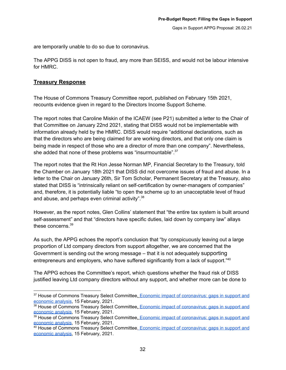are temporarily unable to do so due to coronavirus.

The APPG DISS is not open to fraud, any more than SEISS, and would not be labour intensive for HMRC.

## <span id="page-32-0"></span>**Treasury Response**

The House of Commons Treasury Committee report, published on February 15th 2021, recounts evidence given in regard to the Directors Income Support Scheme.

The report notes that Caroline Miskin of the ICAEW (see P21) submitted a letter to the Chair of that Committee on January 22nd 2021, stating that DISS would not be implementable with information already held by the HMRC. DISS would require "additional declarations, such as that the directors who are being claimed for are working directors, and that only one claim is being made in respect of those who are a director of more than one company". Nevertheless, she added that none of these problems was "insurmountable". $37$ 

The report notes that the Rt Hon Jesse Norman MP, Financial Secretary to the Treasury, told the Chamber on January 18th 2021 that DISS did not overcome issues of fraud and abuse. In a letter to the Chair on January 26th, Sir Tom Scholar, Permanent Secretary at the Treasury, also stated that DISS is "intrinsically reliant on self-certification by owner-managers of companies" and, therefore, it is potentially liable "to open the scheme up to an unacceptable level of fraud and abuse, and perhaps even criminal activity".<sup>38</sup>

However, as the report notes, Glen Collins' statement that "the entire tax system is built around self-assessment" and that "directors have specific duties, laid down by company law" allays these concerns. 39

As such, the APPG echoes the report's conclusion that "by conspicuously leaving out a large proportion of Ltd company directors from support altogether, we are concerned that the Government is sending out the wrong message – that it is not adequately supporting entrepreneurs and employers, who have suffered significantly from a lack of support."<sup>40</sup>

The APPG echoes the Committee's report, which questions whether the fraud risk of DISS justified leaving Ltd company directors without any support, and whether more can be done to

<sup>&</sup>lt;sup>37</sup> House of Commons Treasury Select Committee[,](https://publications.parliament.uk/pa/cm5801/cmselect/cmtreasy/882/88202.htm) Economic impact of coronavirus; gaps in support and [economic](https://publications.parliament.uk/pa/cm5801/cmselect/cmtreasy/882/88202.htm) analysis, 15 February, 2021.

<sup>38</sup> House of Commons Treasury Select Committee[,](https://publications.parliament.uk/pa/cm5801/cmselect/cmtreasy/882/88202.htm) Economic impact of coronavirus; gaps in support and [economic](https://publications.parliament.uk/pa/cm5801/cmselect/cmtreasy/882/88202.htm) analysis, 15 February, 2021.

<sup>&</sup>lt;sup>39</sup> House of Commons Treasury Select Committee[,](https://publications.parliament.uk/pa/cm5801/cmselect/cmtreasy/882/88202.htm) Economic impact of coronavirus; gaps in support and [economic](https://publications.parliament.uk/pa/cm5801/cmselect/cmtreasy/882/88202.htm) analysis, 15 February, 2021.

<sup>&</sup>lt;sup>40</sup> House of Commons Treasury Select Committee[,](https://publications.parliament.uk/pa/cm5801/cmselect/cmtreasy/882/88202.htm) Economic impact of [coronavirus:](https://publications.parliament.uk/pa/cm5801/cmselect/cmtreasy/882/88202.htm) gaps in support and [economic](https://publications.parliament.uk/pa/cm5801/cmselect/cmtreasy/882/88202.htm) analysis, 15 February, 2021.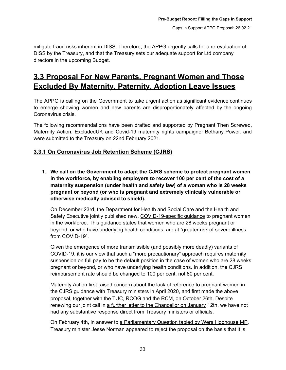mitigate fraud risks inherent in DISS. Therefore, the APPG urgently calls for a re-evaluation of DISS by the Treasury, and that the Treasury sets our adequate support for Ltd company directors in the upcoming Budget.

## <span id="page-33-0"></span>**3.3 Proposal For New Parents, Pregnant Women and Those Excluded By Maternity, Paternity, Adoption Leave Issues**

The APPG is calling on the Government to take urgent action as significant evidence continues to emerge showing women and new parents are disproportionately affected by the ongoing Coronavirus crisis.

The following recommendations have been drafted and supported by Pregnant Then Screwed, Maternity Action, ExcludedUK and Covid-19 maternity rights campaigner Bethany Power, and were submitted to the Treasury on 22nd February 2021.

## <span id="page-33-1"></span>**3.3.1 On Coronavirus Job Retention Scheme (CJRS)**

**1. We call on the Government to adapt the CJRS scheme to protect pregnant women in the workforce, by enabling employers to recover 100 per cent of the cost of a maternity suspension (under health and safety law) of a woman who is 28 weeks pregnant or beyond (or who is pregnant and extremely clinically vulnerable or otherwise medically advised to shield).**

On December 23rd, the Department for Health and Social Care and the Health and Safety Executive jointly published new, [COVID-19-specific](https://www.gov.uk/government/publications/coronavirus-covid-19-advice-for-pregnant-employees) guidance to pregnant women in the workforce. This guidance states that women who are 28 weeks pregnant or beyond, or who have underlying health conditions, are at "greater risk of severe illness from COVID-19".

Given the emergence of more transmissible (and possibly more deadly) variants of COVID-19, it is our view that such a "more precautionary" approach requires maternity suspension on full pay to be the default position in the case of women who are 28 weeks pregnant or beyond, or who have underlying health conditions. In addition, the CJRS reimbursement rate should be changed to 100 per cent, not 80 per cent.

Maternity Action first raised concern about the lack of reference to pregnant women in the CJRS guidance with Treasury ministers in April 2020, and first made the above proposal, [together](https://maternityaction.org.uk/wp-content/uploads/Joint-ltr-to-Chancellor-re-JSS-26-10-20.pdf) with the TUC, RCOG and the RCM, on October 26th. Despite renewing our joint call in a further letter to the [Chancellor](https://maternityaction.org.uk/2021/01/joint-letter-with-rcog-and-the-rcm-to-the-chancellor-covid-pregnant-women-in-the-workplace/) on January 12th, we have not had any substantive response direct from Treasury ministers or officials.

On February 4th, in answer to a [Parliamentary](https://questions-statements.parliament.uk/written-questions/detail/2021-01-29/145832) Question tabled by Wera Hobhouse MP, Treasury minister Jesse Norman appeared to reject the proposal on the basis that it is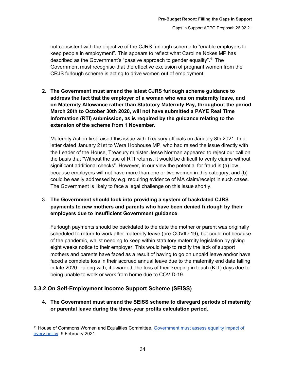not consistent with the objective of the CJRS furlough scheme to "enable employers to keep people in employment". This appears to reflect what Caroline Nokes MP has described as the Government's "passive approach to gender equality".<sup>41</sup> The Government must recognise that the effective exclusion of pregnant women from the CRJS furlough scheme is acting to drive women out of employment.

**2. The Government must amend the latest CJRS furlough scheme guidance to address the fact that the employer of a woman who was on maternity leave, and on Maternity Allowance rather than Statutory Maternity Pay, throughout the period March 20th to October 30th 2020, will not have submitted a PAYE Real Time Information (RTI) submission, as is required by the guidance relating to the extension of the scheme from 1 November.**

Maternity Action first raised this issue with Treasury officials on January 8th 2021. In a letter dated January 21st to Wera Hobhouse MP, who had raised the issue directly with the Leader of the House, Treasury minister Jesse Norman appeared to reject our call on the basis that "Without the use of RTI returns, it would be difficult to verify claims without significant additional checks". However, in our view the potential for fraud is (a) low, because employers will not have more than one or two women in this category; and (b) could be easily addressed by e.g. requiring evidence of MA claim/receipt in such cases. The Government is likely to face a legal challenge on this issue shortly.

3. **The Government should look into providing a system of backdated CJRS payments to new mothers and parents who have been denied furlough by their employers due to insufficient Government guidance**.

Furlough payments should be backdated to the date the mother or parent was originally scheduled to return to work after maternity leave (pre-COVID-19), but could not because of the pandemic, whilst needing to keep within statutory maternity legislation by giving eight weeks notice to their employer. This would help to rectify the lack of support mothers and parents have faced as a result of having to go on unpaid leave and/or have faced a complete loss in their accrued annual leave due to the maternity end date falling in late 2020 – along with, if awarded, the loss of their keeping in touch (KIT) days due to being unable to work or work from home due to COVID-19.

## <span id="page-34-0"></span>**3.3.2 On Self-Employment Income Support Scheme (SEISS)**

**4. The Government must amend the SEISS scheme to disregard periods of maternity or parental leave during the three-year profits calculation period.**

<sup>&</sup>lt;sup>41</sup> House of Commons Women and Equalities Committee, [Government](https://committees.parliament.uk/committee/328/women-and-equalities-committee/news/139066/government-must-assess-equality-impact-of-every-policy/) must assess equality impact of every [policy](https://committees.parliament.uk/committee/328/women-and-equalities-committee/news/139066/government-must-assess-equality-impact-of-every-policy/), 9 February 2021.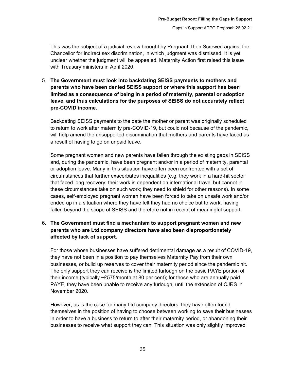This was the subject of a judicial review brought by Pregnant Then Screwed against the Chancellor for indirect sex discrimination, in which judgment was dismissed. It is yet unclear whether the judgment will be appealed. Maternity Action first raised this issue with Treasury ministers in April 2020.

5. **The Government must look into backdating SEISS payments to mothers and parents who have been denied SEISS support or where this support has been limited as a consequence of being in a period of maternity, parental or adoption leave, and thus calculations for the purposes of SEISS do not accurately reflect pre-COVID income.**

Backdating SEISS payments to the date the mother or parent was originally scheduled to return to work after maternity pre-COVID-19, but could not because of the pandemic, will help amend the unsupported discrimination that mothers and parents have faced as a result of having to go on unpaid leave.

Some pregnant women and new parents have fallen through the existing gaps in SEISS and, during the pandemic, have been pregnant and/or in a period of maternity, parental or adoption leave. Many in this situation have often been confronted with a set of circumstances that further exacerbates inequalities (e.g. they work in a hard-hit sector that faced long recovery; their work is dependent on international travel but cannot in these circumstances take on such work; they need to shield for other reasons). In some cases, self-employed pregnant women have been forced to take on unsafe work and/or ended up in a situation where they have felt they had no choice but to work, having fallen beyond the scope of SEISS and therefore not in receipt of meaningful support.

## 6. **The Government must find a mechanism to support pregnant women and new parents who are Ltd company directors have also been disproportionately affected by lack of support**.

For those whose businesses have suffered detrimental damage as a result of COVID-19, they have not been in a position to pay themselves Maternity Pay from their own businesses, or build up reserves to cover their maternity period since the pandemic hit. The only support they can receive is the limited furlough on the basic PAYE portion of their income (typically ~£575/month at 80 per cent); for those who are annually paid PAYE, they have been unable to receive any furlough, until the extension of CJRS in November 2020.

However, as is the case for many Ltd company directors, they have often found themselves in the position of having to choose between working to save their businesses in order to have a business to return to after their maternity period, or abandoning their businesses to receive what support they can. This situation was only slightly improved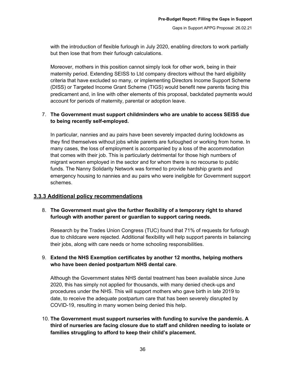with the introduction of flexible furlough in July 2020, enabling directors to work partially but then lose that from their furlough calculations.

Moreover, mothers in this position cannot simply look for other work, being in their maternity period. Extending SEISS to Ltd company directors without the hard eligibility criteria that have excluded so many, or implementing Directors Income Support Scheme (DISS) or Targeted Income Grant Scheme (TIGS) would benefit new parents facing this predicament and, in line with other elements of this proposal, backdated payments would account for periods of maternity, parental or adoption leave.

## 7. **The Government must support childminders who are unable to access SEISS due to being recently self-employed.**

In particular, nannies and au pairs have been severely impacted during lockdowns as they find themselves without jobs while parents are furloughed or working from home. In many cases, the loss of employment is accompanied by a loss of the accommodation that comes with their job. This is particularly detrimental for those high numbers of migrant women employed in the sector and for whom there is no recourse to public funds. The Nanny Solidarity Network was formed to provide hardship grants and emergency housing to nannies and au pairs who were ineligible for Government support schemes.

## <span id="page-36-0"></span>**3.3.3 Additional policy recommendations**

## 8. **The Government must give the further flexibility of a temporary right to shared furlough with another parent or guardian to support caring needs.**

Research by the Trades Union Congress (TUC) found that 71% of requests for furlough due to childcare were rejected. Additional flexibility will help support parents in balancing their jobs, along with care needs or home schooling responsibilities.

## 9. **Extend the NHS Exemption certificates by another 12 months, helping mothers who have been denied postpartum NHS dental care**.

Although the Government states NHS dental treatment has been available since June 2020, this has simply not applied for thousands, with many denied check-ups and procedures under the NHS. This will support mothers who gave birth in late 2019 to date, to receive the adequate postpartum care that has been severely disrupted by COVID-19, resulting in many women being denied this help.

## 10. **The Government must support nurseries with funding to survive the pandemic. A third of nurseries are facing closure due to staff and children needing to isolate or families struggling to afford to keep their child's placement.**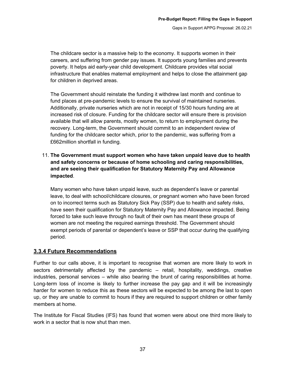The childcare sector is a massive help to the economy. It supports women in their careers, and suffering from gender pay issues. It supports young families and prevents poverty. It helps aid early-year child development. Childcare provides vital social infrastructure that enables maternal employment and helps to close the attainment gap for children in deprived areas.

The Government should reinstate the funding it withdrew last month and continue to fund places at pre-pandemic levels to ensure the survival of maintained nurseries. Additionally, private nurseries which are not in receipt of 15/30 hours funding are at increased risk of closure. Funding for the childcare sector will ensure there is provision available that will allow parents, mostly women, to return to employment during the recovery. Long-term, the Government should commit to an independent review of funding for the childcare sector which, prior to the pandemic, was suffering from a £662million shortfall in funding.

11. **The Government must support women who have taken unpaid leave due to health and safety concerns or because of home schooling and caring responsibilities, and are seeing their qualification for Statutory Maternity Pay and Allowance impacted**.

Many women who have taken unpaid leave, such as dependent's leave or parental leave, to deal with school/childcare closures, or pregnant women who have been forced on to incorrect terms such as Statutory Sick Pay (SSP) due to health and safety risks, have seen their qualification for Statutory Maternity Pay and Allowance impacted. Being forced to take such leave through no fault of their own has meant these groups of women are not meeting the required earnings threshold. The Government should exempt periods of parental or dependent's leave or SSP that occur during the qualifying period.

## <span id="page-37-0"></span>**3.3.4 Future Recommendations**

Further to our calls above, it is important to recognise that women are more likely to work in sectors detrimentally affected by the pandemic – retail, hospitality, weddings, creative industries, personal services – while also bearing the brunt of caring responsibilities at home. Long-term loss of income is likely to further increase the pay gap and it will be increasingly harder for women to reduce this as these sectors will be expected to be among the last to open up, or they are unable to commit to hours if they are required to support children or other family members at home.

The Institute for Fiscal Studies (IFS) has found that women were about one third more likely to work in a sector that is now shut than men.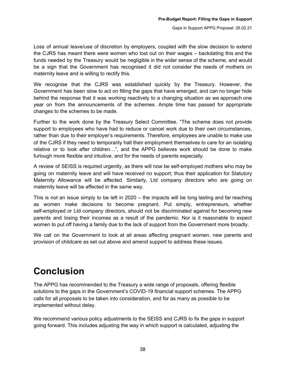Loss of annual leave/use of discretion by employers, coupled with the slow decision to extend the CJRS has meant there were women who lost out on their wages – backdating this and the funds needed by the Treasury would be negligible in the wider sense of the scheme, and would be a sign that the Government has recognised it did not consider the needs of mothers on maternity leave and is willing to rectify this.

We recognise that the CJRS was established quickly by the Treasury. However, the Government has been slow to act on filling the gaps that have emerged, and can no longer hide behind the response that it was working reactively to a changing situation as we approach one year on from the announcements of the schemes. Ample time has passed for appropriate changes to the schemes to be made.

Further to the work done by the Treasury Select Committee, "The scheme does not provide support to employees who have had to reduce or cancel work due to their own circumstances, rather than due to their employer's requirements. Therefore, employees are unable to make use of the CJRS if they need to temporarily halt their employment themselves to care for an isolating relative or to look after children…", and the APPG believes work should be done to make furlough more flexible and intuitive, and for the needs of parents especially.

A review of SEISS is required urgently, as there will now be self-employed mothers who may be going on maternity leave and will have received no support; thus their application for Statutory Maternity Allowance will be affected. Similarly, Ltd company directors who are going on maternity leave will be affected in the same way.

This is not an issue simply to be left in 2020 – the impacts will be long lasting and far reaching as women make decisions to become pregnant. Put simply, entrepreneurs, whether self-employed or Ltd company directors, should not be discriminated against for becoming new parents and losing their incomes as a result of the pandemic. Nor is it reasonable to expect women to put off having a family due to the lack of support from the Government more broadly.

We call on the Government to look at all areas affecting pregnant women, new parents and provision of childcare as set out above and amend support to address these issues.

## **Conclusion**

The APPG has recommended to the Treasury a wide range of proposals, offering flexible solutions to the gaps in the Government's COVID-19 financial support schemes. The APPG calls for all proposals to be taken into consideration, and for as many as possible to be implemented without delay.

We recommend various policy adjustments to the SEISS and CJRS to fix the gaps in support going forward. This includes adjusting the way in which support is calculated, adjusting the